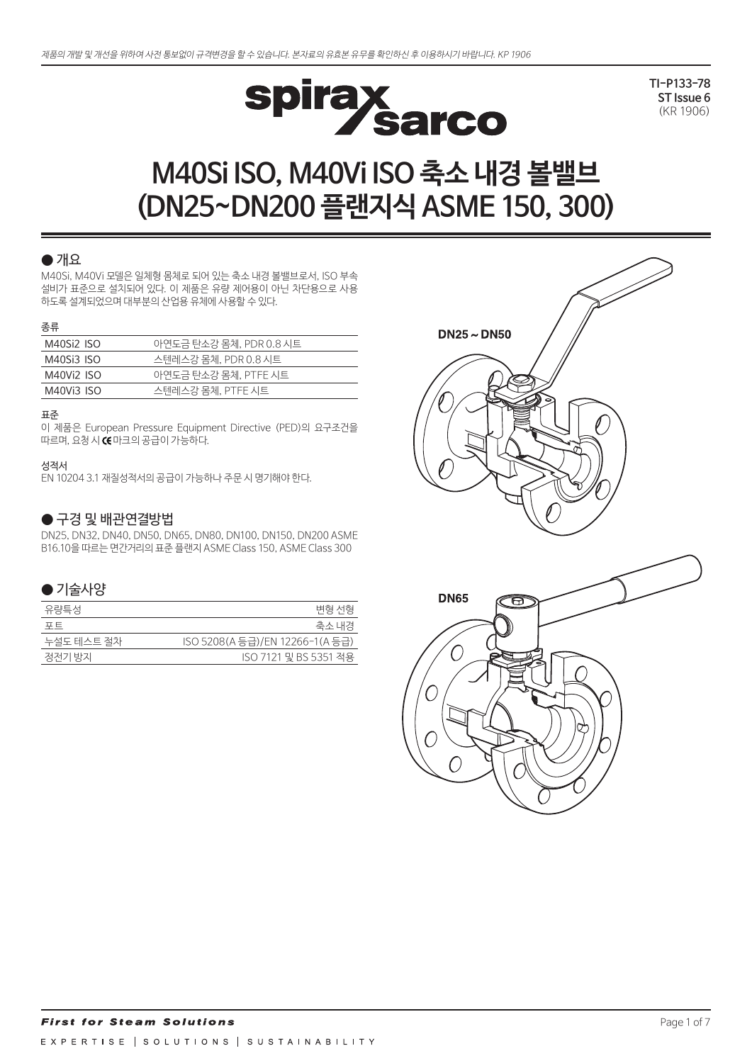

**TI-P133-78 ST Issue 6** (KR 1906)

# **M40Si ISO, M40Vi ISO 축소 내경 볼밸브 (DN25~DN200 플랜지식 ASME 150, 300)**

#### $\bullet$  개요

M40Si, M40Vi 모델은 일체형 몸체로 되어 있는 축소 내경 볼밸브로서, ISO 부속 설비가 표준으로 설치되어 있다. 이 제품은 유량 제어용이 아닌 차단용으로 사용 하도록 설계되었으며 대부분의 산업용 유체에 사용할 수 있다.

#### 종류

| M40Si2 ISO | 아연도금 탄소강 몸체, PDR 0.8 시트 |
|------------|-------------------------|
| M40Si3 ISO | 스텐레스강 몸체, PDR 0.8 시트    |
| M40Vi2 ISO | 아연도금 탄소강 몸체, PTFE 시트    |
| M40Vi3 ISO | 스텐레스강 몸체, PTFE 시트       |

#### 표준

이 제품은 European Pressure Equipment Directive (PED)의 요구조건을 따르며, 요청 시 CE 마크의 공급이 가능하다.

#### 성적서

EN 10204 3.1 재질성적서의 공급이 가능하나 주문 시 명기해야 한다.

## ● 구경 및 배관연결방법

DN25, DN32, DN40, DN50, DN65, DN80, DN100, DN150, DN200 ASME B16.10을 따르는 면간거리의 표준 플랜지 ASME Class 150, ASME Class 300

#### ● 기술사양

| 유량특성       | 변형 선형                           |
|------------|---------------------------------|
| 포트         | 죽소 내경                           |
| 누설도 테스트 절차 | ISO 5208(A 등급)/EN 12266-1(A 등급) |
| 정전기 방지     | ISO 7121 밓 BS 5351 적용           |

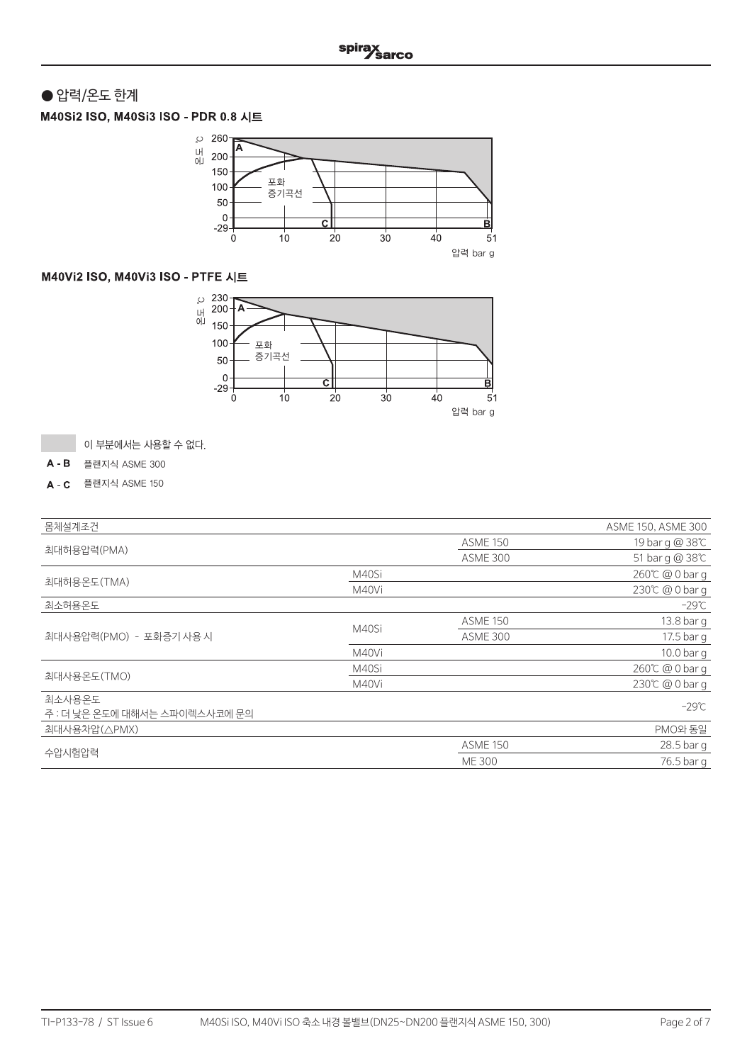# ● 압력/온도 한계

M40Si2 ISO, M40Si3 ISO - PDR 0.8 시트



## M40Vi2 ISO, M40Vi3 ISO - PTFE 시트



이 부분에서는 사용할 수 없다.

 $A - B$ 플랜지식 ASME 300

플랜지식 ASME 150

| 몸체설계조건                                  |       |                 | ASME 150, ASME 300 |
|-----------------------------------------|-------|-----------------|--------------------|
|                                         |       | <b>ASME 150</b> | 19 bar g @ 38℃     |
| 최대허용압력(PMA)                             |       | <b>ASME 300</b> | 51 bar g @ 38°C    |
|                                         | M40Si |                 | 260℃ @ 0 bar q     |
| 최대허용온도(TMA)                             | M40Vi |                 | 230℃ @ 0 bar g     |
| 최소허용온도                                  |       |                 | -29℃               |
|                                         |       | <b>ASME 150</b> | 13.8 bar g         |
| 최대사용압력(PMO) - 포화증기 사용 시                 | M40Si | <b>ASME 300</b> | 17.5 bar g         |
|                                         | M40Vi |                 | 10.0 bar g         |
|                                         | M40Si |                 | 260℃ @ 0 bar q     |
| 최대사용온도(TMO)                             | M40Vi |                 | 230℃ @ 0 bar q     |
| 최소사용온도<br>주 : 더 낮은 온도에 대해서는 스파이렉스사코에 문의 |       |                 | $-29^{\circ}$ C    |
| 최대사용차압(△PMX)                            |       |                 | PMO와 동일            |
|                                         |       | <b>ASME 150</b> | 28.5 bar g         |
| 수압시험압력                                  |       | <b>ME300</b>    | 76.5 bar q         |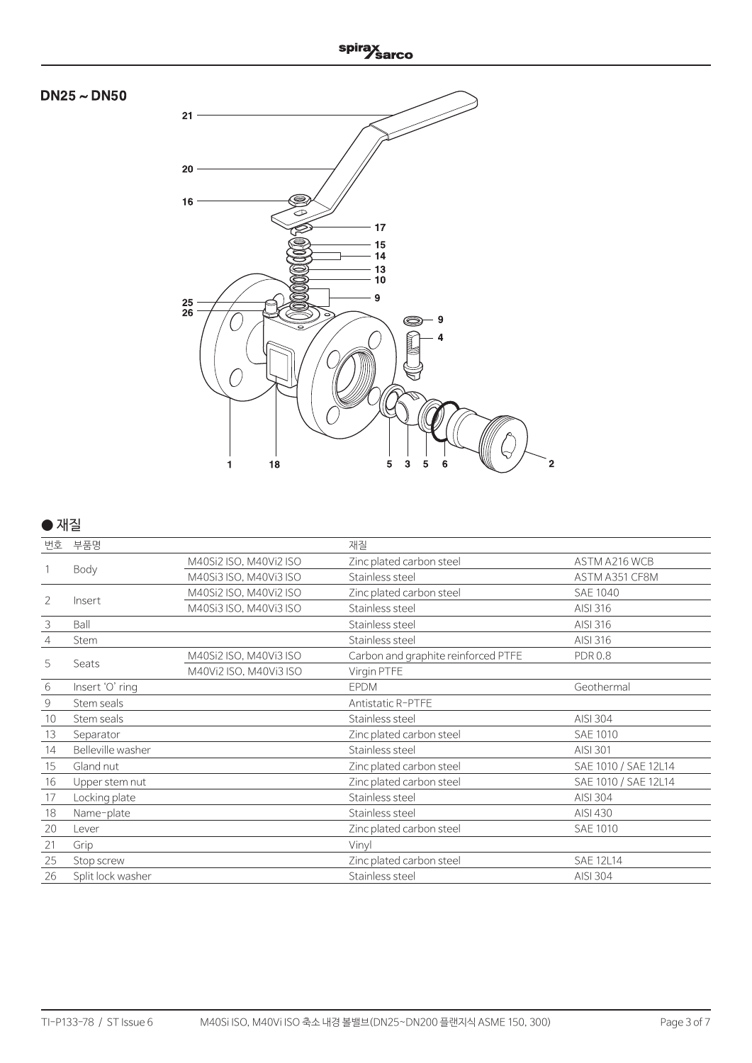





#### $\bullet$  재질

| 번호 | 부품명               |                        | 재질                                  |                      |
|----|-------------------|------------------------|-------------------------------------|----------------------|
|    |                   | M40Si2 ISO, M40Vi2 ISO | Zinc plated carbon steel            | ASTM A216 WCB        |
|    | Body              | M40Si3 ISO, M40Vi3 ISO | Stainless steel                     | ASTM A351 CF8M       |
| 2  |                   | M40Si2 ISO, M40Vi2 ISO | Zinc plated carbon steel            | <b>SAE 1040</b>      |
|    | Insert            | M40Si3 ISO, M40Vi3 ISO | Stainless steel                     | AISI 316             |
| 3  | Ball              |                        | Stainless steel                     | AISI 316             |
| 4  | Stem              |                        | Stainless steel                     | AISI 316             |
| 5  | Seats             | M40Si2 ISO, M40Vi3 ISO | Carbon and graphite reinforced PTFE | <b>PDR0.8</b>        |
|    |                   | M40Vi2 ISO, M40Vi3 ISO | Virgin PTFE                         |                      |
| 6  | Insert 'O' ring   |                        | <b>EPDM</b>                         | Geothermal           |
| 9  | Stem seals        |                        | Antistatic R-PTFE                   |                      |
| 10 | Stem seals        |                        | Stainless steel                     | AISI 304             |
| 13 | Separator         |                        | Zinc plated carbon steel            | <b>SAE 1010</b>      |
| 14 | Belleville washer |                        | Stainless steel                     | AISI 301             |
| 15 | Gland nut         |                        | Zinc plated carbon steel            | SAE 1010 / SAE 12L14 |
| 16 | Upper stem nut    |                        | Zinc plated carbon steel            | SAE 1010 / SAE 12L14 |
| 17 | Locking plate     |                        | Stainless steel                     | AISI 304             |
| 18 | Name-plate        |                        | Stainless steel                     | AISI 430             |
| 20 | Lever             |                        | Zinc plated carbon steel            | <b>SAE 1010</b>      |
| 21 | Grip              |                        | Vinyl                               |                      |
| 25 | Stop screw        |                        | Zinc plated carbon steel            | <b>SAE 12L14</b>     |
| 26 | Split lock washer |                        | Stainless steel                     | AISI 304             |
|    |                   |                        |                                     |                      |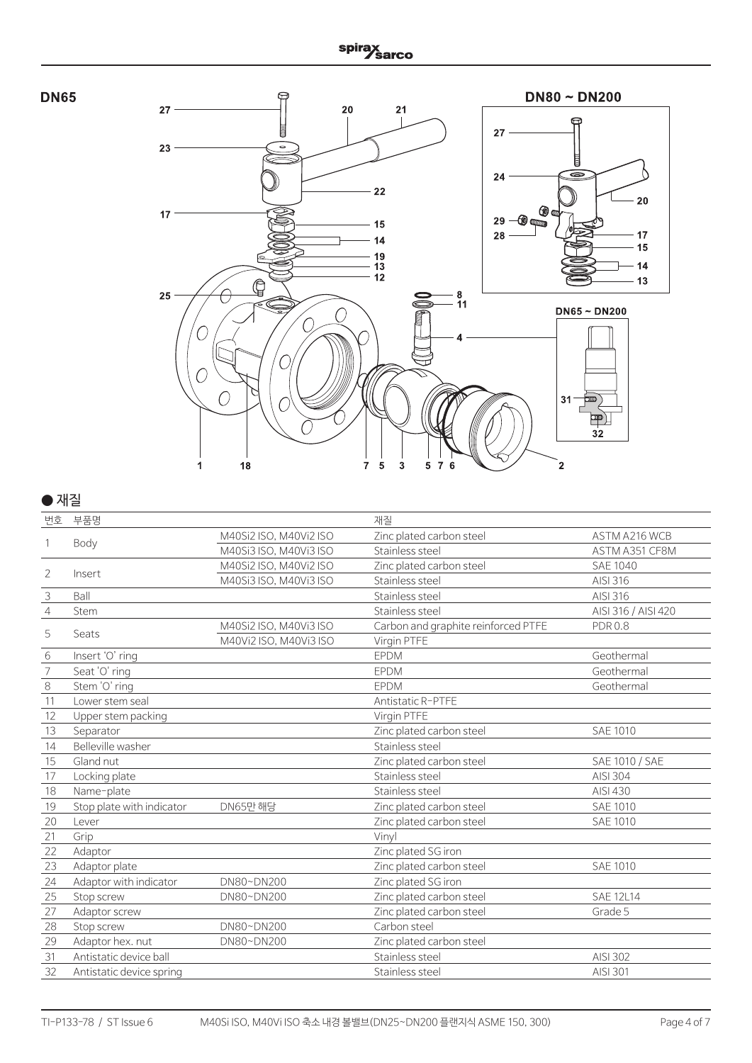



## $\bullet$  재질

| 번호             | 부품명                       |                        | 재질                                  |                     |
|----------------|---------------------------|------------------------|-------------------------------------|---------------------|
|                |                           | M40Si2 ISO, M40Vi2 ISO | Zinc plated carbon steel            | ASTM A216 WCB       |
|                | Body                      | M40Si3 ISO, M40Vi3 ISO | Stainless steel                     | ASTM A351 CF8M      |
|                |                           | M40Si2 ISO, M40Vi2 ISO | Zinc plated carbon steel            | <b>SAE 1040</b>     |
| 2              | Insert                    | M40Si3 ISO, M40Vi3 ISO | Stainless steel                     | AISI 316            |
| $\mathsf 3$    | Ball                      |                        | Stainless steel                     | AISI 316            |
| $\overline{4}$ | Stem                      |                        | Stainless steel                     | AISI 316 / AISI 420 |
|                |                           | M40Si2 ISO, M40Vi3 ISO | Carbon and graphite reinforced PTFE | <b>PDR 0.8</b>      |
| 5              | Seats                     | M40Vi2 ISO, M40Vi3 ISO | Virgin PTFE                         |                     |
| 6              | Insert 'O' ring           |                        | <b>EPDM</b>                         | Geothermal          |
| 7              | Seat 'O' ring             |                        | <b>EPDM</b>                         | Geothermal          |
| $\,8\,$        | Stem 'O' ring             |                        | <b>EPDM</b>                         | Geothermal          |
| 11             | Lower stem seal           |                        | Antistatic R-PTFE                   |                     |
| 12             | Upper stem packing        |                        | Virgin PTFE                         |                     |
| 13             | Separator                 |                        | Zinc plated carbon steel            | <b>SAE 1010</b>     |
| 14             | Belleville washer         |                        | Stainless steel                     |                     |
| 15             | Gland nut                 |                        | Zinc plated carbon steel            | SAE 1010 / SAE      |
| 17             | Locking plate             |                        | Stainless steel                     | AISI 304            |
| 18             | Name-plate                |                        | Stainless steel                     | AISI 430            |
| 19             | Stop plate with indicator | DN65만 해당               | Zinc plated carbon steel            | <b>SAE 1010</b>     |
| 20             | Lever                     |                        | Zinc plated carbon steel            | <b>SAE 1010</b>     |
| 21             | Grip                      |                        | Vinyl                               |                     |
| 22             | Adaptor                   |                        | Zinc plated SG iron                 |                     |
| 23             | Adaptor plate             |                        | Zinc plated carbon steel            | <b>SAE 1010</b>     |
| 24             | Adaptor with indicator    | DN80~DN200             | Zinc plated SG iron                 |                     |
| 25             | Stop screw                | DN80~DN200             | Zinc plated carbon steel            | <b>SAE 12L14</b>    |
| 27             | Adaptor screw             |                        | Zinc plated carbon steel            | Grade 5             |
| 28             | Stop screw                | DN80~DN200             | Carbon steel                        |                     |
| 29             | Adaptor hex. nut          | DN80~DN200             | Zinc plated carbon steel            |                     |
| 31             | Antistatic device ball    |                        | Stainless steel                     | AISI 302            |
| 32             | Antistatic device spring  |                        | Stainless steel                     | AISI 301            |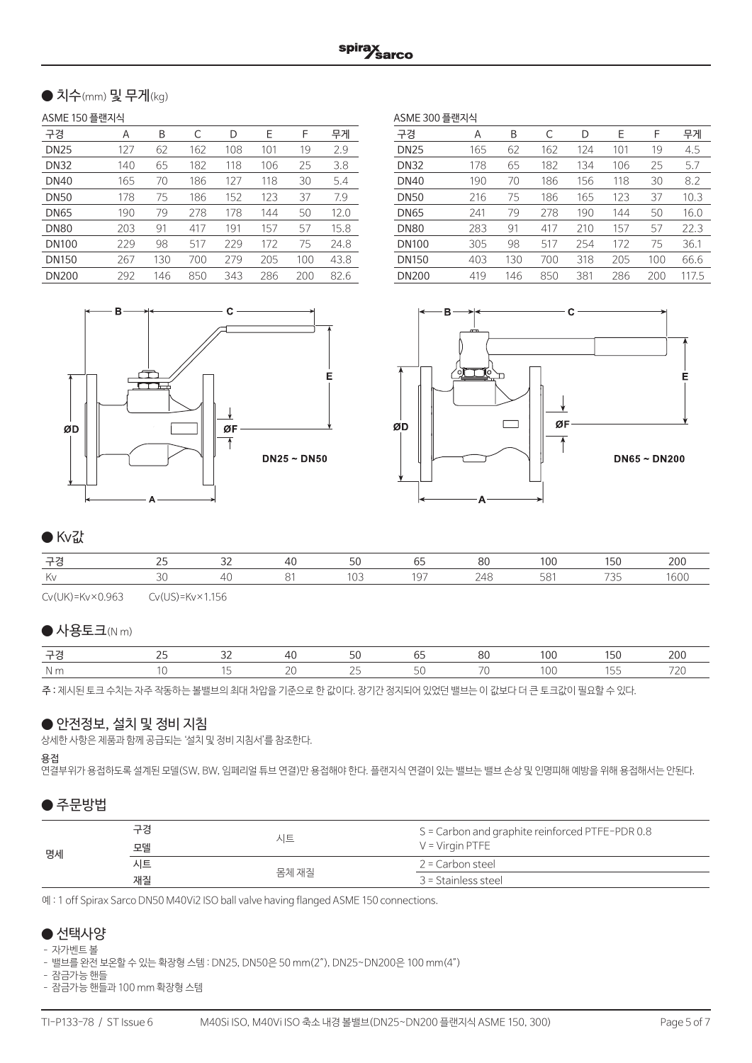## ● 치수(mm) 및 무게(kg)

#### ASME 150 플랜지식

| 구경           | Α   | B   | C   | D   | Е   | F   | 무게   |
|--------------|-----|-----|-----|-----|-----|-----|------|
| <b>DN25</b>  | 127 | 62  | 162 | 108 | 101 | 19  | 2.9  |
| <b>DN32</b>  | 140 | 65  | 182 | 118 | 106 | 25  | 3.8  |
| <b>DN40</b>  | 165 | 70  | 186 | 127 | 118 | 30  | 5.4  |
| <b>DN50</b>  | 178 | 75  | 186 | 152 | 123 | 37  | 7.9  |
| <b>DN65</b>  | 190 | 79  | 278 | 178 | 144 | 50  | 12.0 |
| <b>DN80</b>  | 203 | 91  | 417 | 191 | 157 | 57  | 15.8 |
| <b>DN100</b> | 229 | 98  | 517 | 229 | 172 | 75  | 24.8 |
| <b>DN150</b> | 267 | 130 | 700 | 279 | 205 | 100 | 43.8 |
| <b>DN200</b> | 292 | 146 | 850 | 343 | 286 | 200 | 82.6 |

| ASME 300 플랜지식 |     |     |     |     |     |     |       |  |
|---------------|-----|-----|-----|-----|-----|-----|-------|--|
| 구경            | A   | В   | C   | D   | Е   | F   | 무게    |  |
| <b>DN25</b>   | 165 | 62  | 162 | 124 | 101 | 19  | 4.5   |  |
| <b>DN32</b>   | 178 | 65  | 182 | 134 | 106 | 25  | 5.7   |  |
| <b>DN40</b>   | 190 | 70  | 186 | 156 | 118 | 30  | 8.2   |  |
| <b>DN50</b>   | 216 | 75  | 186 | 165 | 123 | 37  | 10.3  |  |
| <b>DN65</b>   | 241 | 79  | 278 | 190 | 144 | 50  | 16.0  |  |
| <b>DN80</b>   | 283 | 91  | 417 | 210 | 157 | 57  | 22.3  |  |
| <b>DN100</b>  | 305 | 98  | 517 | 254 | 172 | 75  | 36.1  |  |
| <b>DN150</b>  | 403 | 130 | 700 | 318 | 205 | 100 | 66.6  |  |
| <b>DN200</b>  | 419 | 146 | 850 | 381 | 286 | 200 | 117.5 |  |





## ● Kv값

| 구경 | $\sim$ $-$ | - -       |  | $\circ$<br>ΩL. | 00 |                  |  |
|----|------------|-----------|--|----------------|----|------------------|--|
| Κv |            | $\Delta'$ |  |                |    | $\neg \neg \neg$ |  |

Cv(UK)=Kv×0.963 Cv(US)=Kv×1.156

#### $\bigcirc$  사용토크(N m)

| $-1$ | $\sim$ | $\Gamma$ |  | $00^{\circ}$ | 50 | ንበ( |
|------|--------|----------|--|--------------|----|-----|
|      |        |          |  |              |    |     |

주 : 제시된 토크 수치는 자주 작동하는 볼밸브의 최대 차압을 기준으로 한 값이다. 장기간 정지되어 있었던 밸브는 이 값보다 더 큰 토크값이 필요할 수 있다.

## ● 안전정보, 설치 및 정비 지침

상세한 사항은 제품과 함께 공급되는 '설치 및 정비 지침서'를 참조한다.

#### 용접

연결부위가 용접하도록 설계된 모델(SW, BW, 임페리얼 튜브 연결)만 용접해야 한다. 플랜지식 연결이 있는 밸브는 밸브 손상 및 인명피해 예방을 위해 용접해서는 안된다.

## $\bullet$  주문방법

| 명세 | 구경<br>모델 | 시트    | S = Carbon and graphite reinforced PTFE-PDR 0.8<br>$V = V$ irgin PTFE |
|----|----------|-------|-----------------------------------------------------------------------|
|    | 시트       |       | 2 = Carbon steel                                                      |
|    | 재질       | 몸체 재질 | 3 = Stainless steel                                                   |

예 : 1 off Spirax Sarco DN50 M40Vi2 ISO ball valve having flanged ASME 150 connections.

## ● 선택사양

#### – 자가벤트 볼

– 밸브를 완전 보온할 수 있는 확장형 스템 : DN25, DN50은 50 mm(2″), DN25~DN200은 100 mm(4″)

– 잠금가능 핸들

– 잠금가능 핸들과 100 mm 확장형 스템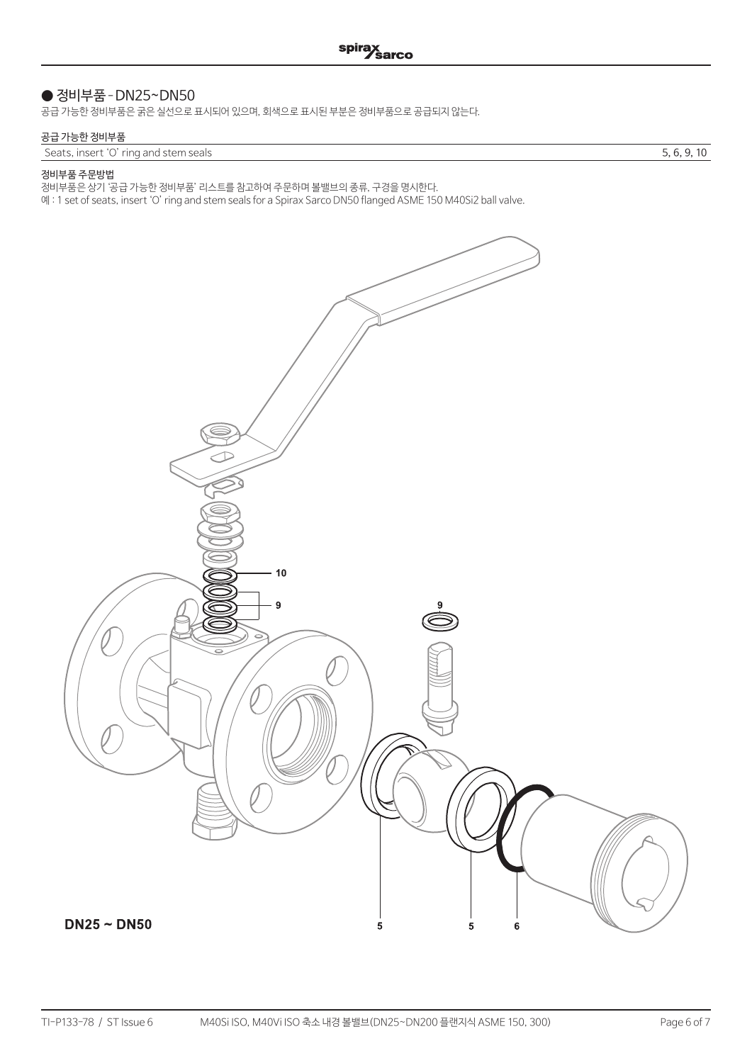## ● 정비부품 - DN25~DN50

공급 가능한 정비부품은 굵은 실선으로 표시되어 있으며, 회색으로 표시된 부분은 정비부품으로 공급되지 않는다.

#### 공급 가능한 정비부품

Seats, insert 'O' ring and stem seals 5, 6, 9, 10

#### 정비부품 주문방법

정비부품은 상기 '공급 가능한 정비부품' 리스트를 참고하여 주문하며 볼밸브의 종류, 구경을 명시한다.

예 : 1 set of seats, insert 'O' ring and stem seals for a Spirax Sarco DN50 flanged ASME 150 M40Si2 ball valve.